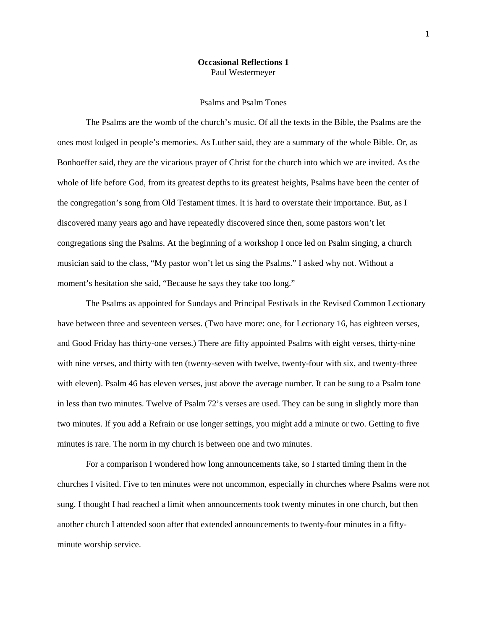## **Occasional Reflections 1** Paul Westermeyer

## Psalms and Psalm Tones

The Psalms are the womb of the church's music. Of all the texts in the Bible, the Psalms are the ones most lodged in people's memories. As Luther said, they are a summary of the whole Bible. Or, as Bonhoeffer said, they are the vicarious prayer of Christ for the church into which we are invited. As the whole of life before God, from its greatest depths to its greatest heights, Psalms have been the center of the congregation's song from Old Testament times. It is hard to overstate their importance. But, as I discovered many years ago and have repeatedly discovered since then, some pastors won't let congregations sing the Psalms. At the beginning of a workshop I once led on Psalm singing, a church musician said to the class, "My pastor won't let us sing the Psalms." I asked why not. Without a moment's hesitation she said, "Because he says they take too long."

The Psalms as appointed for Sundays and Principal Festivals in the Revised Common Lectionary have between three and seventeen verses. (Two have more: one, for Lectionary 16, has eighteen verses, and Good Friday has thirty-one verses.) There are fifty appointed Psalms with eight verses, thirty-nine with nine verses, and thirty with ten (twenty-seven with twelve, twenty-four with six, and twenty-three with eleven). Psalm 46 has eleven verses, just above the average number. It can be sung to a Psalm tone in less than two minutes. Twelve of Psalm 72's verses are used. They can be sung in slightly more than two minutes. If you add a Refrain or use longer settings, you might add a minute or two. Getting to five minutes is rare. The norm in my church is between one and two minutes.

For a comparison I wondered how long announcements take, so I started timing them in the churches I visited. Five to ten minutes were not uncommon, especially in churches where Psalms were not sung. I thought I had reached a limit when announcements took twenty minutes in one church, but then another church I attended soon after that extended announcements to twenty-four minutes in a fiftyminute worship service.